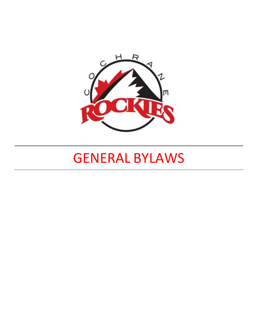

# GENERAL BYLAWS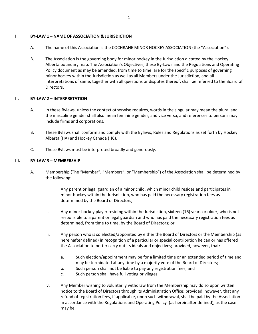## **I. BY-LAW 1 – NAME OF ASSOCIATION & JURISDICTION**

- A. The name of this Association is the COCHRANE MINOR HOCKEY ASSOCIATION (the "Association").
- B. The Association is the governing body for minor hockey in the Jurisdiction dictated by the Hockey Alberta boundary map. The Association's Objectives, these By-Laws and the Regulations and Operating Policy document as may be amended, from time to time, are for the specific purposes of governing minor hockey within the Jurisdiction as well as all Members under the Jurisdiction, and all interpretations of same, together with all questions or disputes thereof, shall be referred to the Board of Directors.

## **II. BY-LAW 2 – INTERPRETATION**

- A. In these Bylaws, unless the context otherwise requires, words in the singular may mean the plural and the masculine gender shall also mean feminine gender, and vice versa, and references to persons may include firms and corporations.
- B. These Bylaws shall conform and comply with the Bylaws, Rules and Regulations as set forth by Hockey Alberta (HA) and Hockey Canada (HC).
- C. These Bylaws must be interpreted broadly and generously.

## **III. BY-LAW 3 – MEMBERSHIP**

- A. Membership (The "Member", "Members", or "Membership") of the Association shall be determined by the following:
	- i. Any parent or legal guardian of a minor child, which minor child resides and participates in minor hockey within the Jurisdiction, who has paid the necessary registration fees as determined by the Board of Directors;
	- ii. Any minor hockey player residing within the Jurisdiction, sixteen (16) years or older, who is not responsible to a parent or legal guardian and who has paid the necessary registration fees as determined, from time to time, by the Board of Directors; or
	- iii. Any person who is so elected/appointed by either the Board of Directors or the Membership (as hereinafter defined) in recognition of a particular or special contribution he can or has offered the Association to better carry out its ideals and objectives; provided, however, that:
		- a. Such election/appointment may be for a limited time or an extended period of time and may be terminated at any time by a majority vote of the Board of Directors;
		- b. Such person shall not be liable to pay any registration fees; and
		- c. Such person shall have full voting privileges.
	- iv. Any Member wishing to voluntarily withdraw from the Membership may do so upon written notice to the Board of Directors through its Administration Office; provided, however, that any refund of registration fees, if applicable, upon such withdrawal, shall be paid by the Association in accordance with the Regulations and Operating Policy (as hereinafter defined), as the case may be.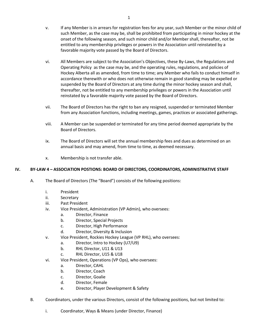- v. If any Member is in arrears for registration fees for any year, such Member or the minor child of such Member, as the case may be, shall be prohibited from participating in minor hockey at the onset of the following season, and such minor child and/or Member shall, thereafter, not be entitled to any membership privileges or powers in the Association until reinstated by a favorable majority vote passed by the Board of Directors.
- vi. All Members are subject to the Association's Objectives, these By-Laws, the Regulations and Operating Policy as the case may be, and the operating rules, regulations, and policies of Hockey Alberta all as amended, from time to time; any Member who fails to conduct himself in accordance therewith or who does not otherwise remain in good standing may be expelled or suspended by the Board of Directors at any time during the minor hockey season and shall, thereafter, not be entitled to any membership privileges or powers in the Association until reinstated by a favorable majority vote passed by the Board of Directors.
- vii. The Board of Directors has the right to ban any resigned, suspended or terminated Member from any Association functions, including meetings, games, practices or associated gatherings.
- viii. A Member can be suspended or terminated for any time period deemed appropriate by the Board of Directors.
- ix. The Board of Directors will set the annual membership fees and dues as determined on an annual basis and may amend, from time to time, as deemed necessary.
- x. Membership is not transfer able.

## **IV. BY-LAW 4 – ASSOCIATION POSTIONS: BOARD OF DIRECTORS, COORDINATORS, ADMINISTRATIVE STAFF**

- A. The Board of Directors (The "Board") consists of the following positions:
	- i. President
	- ii. Secretary
	- iii. Past President
	- iv. Vice President, Administration (VP Admin), who oversees:
		- a. Director, Finance
		- b. Director, Special Projects
		- c. Director, High Performance
		- d. Director, Diversity & Inclusion
	- v. Vice President, Rockies Hockey League (VP RHL), who oversees:
		- a. Director, Intro to Hockey (U7/U9)
		- b. RHL Director, U11 & U13
		- c. RHL Director, U15 & U18
	- vi. Vice President, Operations (VP Ops), who oversees:
		- a. Director, CAHL
		- b. Director, Coach
		- c. Director, Goalie
		- d. Director, Female
		- e. Director, Player Development & Safety
- B. Coordinators, under the various Directors, consist of the following positions, but not limited to:
	- i. Coordinator, Ways & Means (under Director, Finance)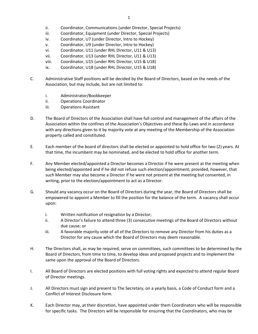- ii. Coordinator, Communications (under Director, Special Projects)
- iii. Coordinator, Equipment (under Director, Special Projects)
- iv. Coordinator, U7 (under Director, Intro to Hockey)
- v. Coordinator, U9 (under Director, Intro to Hockey)
- vi. Coordinator, U11 (under RHL Director, U11 & U13)
- vii. Coordinator, U13 (under RHL Director, U11 & U13)
- viii. Coordinator, U15 (under RHL Director, U15 & U18)
- ix. Coordinator, U18 (under RHL Director, U15 & U18)
- C. Administrative Staff positions will be decided by the Board of Directors, based on the needs of the Association, but may include, but are not limited to:
	- i. Administrator/Bookkeeper
	- ii. Operations Coordinator
	- iii. Operations Assistant
- D. The Board of Directors of the Association shall have full control and management of the affairs of the Association within the confines of the Association's Objectives and these By-Laws and in accordance with any directions given to it by majority vote at any meeting of the Membership of the Association property called and constituted.
- E. Each member of the board of directors shall be elected or appointed to hold office for two (2) years. At that time, the incumbent may be nominated, and be elected to hold office for another term.
- F. Any Member elected/appointed a Director becomes a Director if he were present at the meeting when being elected/appointed and if he did not refuse such election/appointment; provided, however, that such Member may also become a Director if he were not present at the meeting but consented, in writing, prior to the election/appointment to act as a Director.
- G. Should any vacancy occur on the Board of Directors during the year, the Board of Directors shall be empowered to appoint a Member to fill the position for the balance of the term. A vacancy shall occur upon:
	- i. Written notification of resignation by a Director;
	- ii. A Director's failure to attend three (3) consecutive meetings of the Board of Directors without due cause; or
	- iii. A favorable majority vote of all of the Directors to remove any Director from his duties as a Director for any cause which the Board of Directors may deem reasonable.
- H. The Directors shall, as may be required, serve on committees, such committees to be determined by the Board of Directors, from time to time, to develop ideas and proposed projects and to implement the same upon the approval of the Board of Directors.
- I. All Board of Directors are elected positions with full voting rights and expected to attend regular Board of Director meetings.
- J. All Directors must sign and present to The Secretary, on a yearly basis, a Code of Conduct form and a Conflict of Interest Disclosure form.
- K. Each Director may, at their discretion, have appointed under them Coordinators who will be responsible for specific tasks. The Directors will be responsible for ensuring that the Coordinators, who may be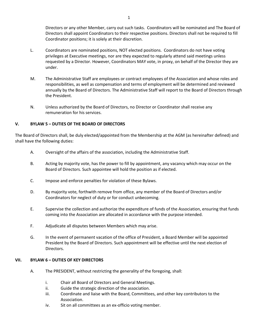Directors or any other Member, carry out such tasks. Coordinators will be nominated and The Board of Directors shall appoint Coordinators to their respective positions. Directors shall not be required to fill Coordinator positions; it is solely at their discretion.

- L. Coordinators are nominated positions, NOT elected positions. Coordinators do not have voting privileges at Executive meetings, nor are they expected to regularly attend said meetings unless requested by a Director. However, Coordinators MAY vote, in proxy, on behalf of the Director they are under.
- M. The Administrative Staff are employees or contract employees of the Association and whose roles and responsibilities, as well as compensation and terms of employment will be determined and reviewed annually by the Board of Directors. The Administrative Staff will report to the Board of Directors through the President.
- N. Unless authorized by the Board of Directors, no Director or Coordinator shall receive any remuneration for his services.

## **V. BYLAW 5 – DUTIES OF THE BOARD OF DIRECTORS**

The Board of Directors shall, be duly elected/appointed from the Membership at the AGM (as hereinafter defined) and shall have the following duties:

- A. Oversight of the affairs of the association, including the Administrative Staff.
- B. Acting by majority vote, has the power to fill by appointment, any vacancy which may occur on the Board of Directors. Such appointee will hold the position as if elected.
- C. Impose and enforce penalties for violation of these Bylaws.
- D. By majority vote, forthwith remove from office, any member of the Board of Directors and/or Coordinators for neglect of duty or for conduct unbecoming.
- E. Supervise the collection and authorize the expenditure of funds of the Association, ensuring that funds coming into the Association are allocated in accordance with the purpose intended.
- F. Adjudicate all disputes between Members which may arise.
- G. In the event of permanent vacation of the office of President, a Board Member will be appointed President by the Board of Directors. Such appointment will be effective until the next election of Directors.

## **VII. BYLAW 6 – DUTIES OF KEY DIRECTORS**

- A. The PRESIDENT, without restricting the generality of the foregoing, shall:
	- i. Chair all Board of Directors and General Meetings.
	- ii. Guide the strategic direction of the association.
	- iii. Coordinate and liaise with the Board, Committees, and other key contributors to the Association.
	- iv. Sit on all committees as an ex-officio voting member.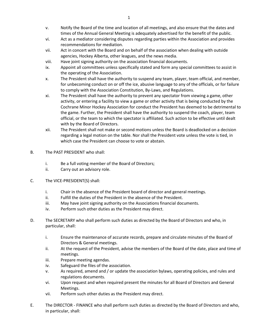- v. Notify the Board of the time and location of all meetings, and also ensure that the dates and times of the Annual General Meeting is adequately advertised for the benefit of the public.
- vi. Act as a mediator considering disputes regarding parties within the Association and provides recommendations for mediation.
- vii. Act in concert with the Board and on behalf of the association when dealing with outside agencies, Hockey Alberta, other leagues, and the news media.
- viii. Have joint signing authority on the association financial documents.
- ix. Appoint all committees unless specifically stated and form any special committees to assist in the operating of the Association.
- x. The President shall have the authority to suspend any team, player, team official, and member, for unbecoming conduct on or off the ice, abusive language to any of the officials, or for failure to comply with the Association Constitution, By-Laws, and Regulations.
- xi. The President shall have the authority to prevent any spectator from viewing a game, other activity, or entering a facility to view a game or other activity that is being conducted by the Cochrane Minor Hockey Association for conduct the President has deemed to be detrimental to the game. Further, the President shall have the authority to suspend the coach, player, team official, or the team to which the spectator is affiliated. Such action to be effective until dealt with by the Board of Directors.
- xii. The President shall not make or second motions unless the Board is deadlocked on a decision regarding a legal motion on the table. Nor shall the President vote unless the vote is tied, in which case the President can choose to vote or abstain.
- B. The PAST PRESIDENT who shall:
	- i. Be a full voting member of the Board of Directors;
	- ii. Carry out an advisory role.
- C. The VICE-PRESIDENT(S) shall:
	- i. Chair in the absence of the President board of director and general meetings.
	- ii. Fulfill the duties of the President in the absence of the President.
	- iii. May have joint signing authority on the Associations financial documents.
	- iv. Perform such other duties as the President may direct.
- D. The SECRETARY who shall perform such duties as directed by the Board of Directors and who, in particular, shall:
	- i. Ensure the maintenance of accurate records, prepare and circulate minutes of the Board of Directors & General meetings.
	- ii. At the request of the President, advise the members of the Board of the date, place and time of meetings.
	- iii. Prepare meeting agendas.
	- iv. Safeguard the files of the association.
	- v. As required, amend and / or update the association bylaws, operating policies, and rules and regulations documents.
	- vi. Upon request and when required present the minutes for all Board of Directors and General Meetings.
	- vii. Perform such other duties as the President may direct.
- E. The DIRECTOR FINANCE who shall perform such duties as directed by the Board of Directors and who, in particular, shall: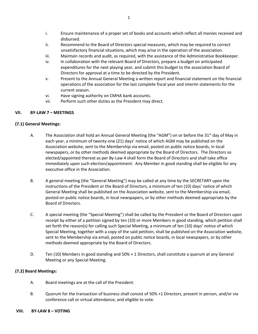- i. Ensure maintenance of a proper set of books and accounts which reflect all monies received and disbursed.
- ii. Recommend to the Board of Directors special measures, which may be required to correct unsatisfactory financial situations, which may arise in the operation of the association.
- iii. Maintain records and audit, as required, with the assistance of the Administrative Bookkeeper.
- iv. In collaboration with the relevant Board of Directors, prepare a budget on anticipated expenditures for the next playing year, and submit this budget to the association Board of Directors for approval at a time to be directed by the President.
- v. Present to the Annual General Meeting a written report and financial statement on the financial operations of the association for the last complete fiscal year and interim statements for the current season.
- vi. Have signing authority on CMHA bank accounts.
- vii. Perform such other duties as the President may direct.

## **VII. BY-LAW 7 – MEETINGS**

## **(7.1) General Meetings:**

- A. The Association shall hold an Annual General Meeting (the "AGM") on or before the 31st day of May in each year, a minimum of twenty-one (21) days' notice of which AGM may be published on the Association website, sent to the Membership via email, posted on public notice boards, in local newspapers, or by other methods deemed appropriate by the Board of Directors. The Directors so elected/appointed thereat as per By-Law 4 shall form the Board of Directors and shall take office immediately upon such election/appointment. Any Member in good standing shall be eligible for any executive office in the Association.
- B. A general meeting (the "General Meeting") may be called at any time by the SECRETARY upon the instructions of the President or the Board of Directors, a minimum of ten (10) days' notice of which General Meeting shall be published on the Association website, sent to the Membership via email, posted on public notice boards, in local newspapers, or by other methods deemed appropriate by the Board of Directors.
- C. A special meeting (the "Special Meeting") shall be called by the President or the Board of Directors upon receipt by either of a petition signed by ten (10) or more Members in good standing, which petition shall set forth the reason(s) for calling such Special Meeting, a minimum of ten (10) days' notice of which Special Meeting, together with a copy of the said petition, shall be published on the Association website, sent to the Membership via email, posted on public notice boards, in local newspapers, or by other methods deemed appropriate by the Board of Directors.
- D. Ten (10) Members in good standing and 50% + 1 Directors, shall constitute a quorum at any General Meeting or any Special Meeting.

## **(7.2) Board Meetings:**

- A. Board meetings are at the call of the President.
- B. Quorum for the transaction of business shall consist of 50% +1 Directors, present in person, and/or via conference call or virtual attendance, and eligible to vote.

## **VIII. BY-LAW 8 – VOTING**